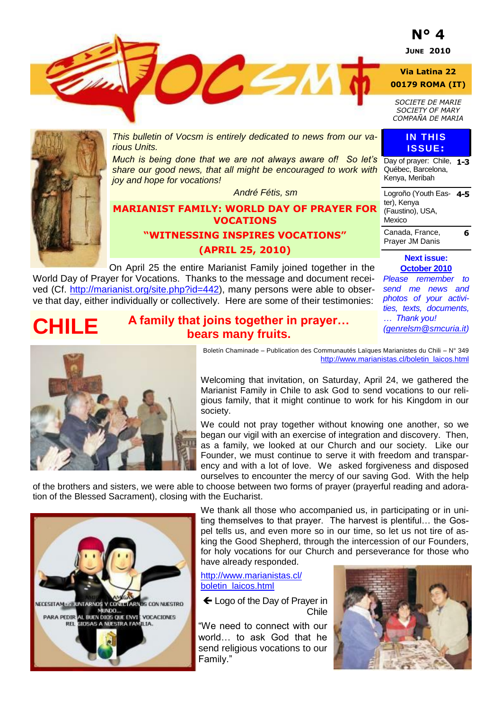# **N° 4**

**JUNE 2010**

**Via Latina 22**

 $2651$ **00179 ROMA (IT)**

*SOCIETE DE MARIE SOCIETY OF MARY*

*COMPAÑA DE MARIA*

Day of prayer: Chile, **1-3** Québec, Barcelona, Kenya, Meribah

**IN THIS ISSUE:**

**4-5**

**6**

Logroño (Youth Eas-

Canada, France, Prayer JM Danis

ter), Kenya (Faustino), USA,

Mexico



**CHILE**

*This bulletin of Vocsm is entirely dedicated to news from our various Units.*

*Much is being done that we are not always aware of! So let's share our good news, that all might be encouraged to work with joy and hope for vocations!*

*André Fétis, sm*

### **MARIANIST FAMILY: WORLD DAY OF PRAYER FOR VOCATIONS**

**"WITNESSING INSPIRES VOCATIONS" (APRIL 25, 2010)**

**A family that joins together in prayer…** 

On April 25 the entire Marianist Family joined together in the World Day of Prayer for Vocations. Thanks to the message and document received (Cf. [http://marianist.org/site.php?id=442\),](http://marianist.org/site.php?id=442) many persons were able to observe that day, either individually or collectively. Here are some of their testimonies:

**October 2010** *Please remember to send me news and photos of your activities, texts, documents, … Thank you! [\(genrelsm@smcuria.it\)](mailto:genrelsm@smcuria.it)*

**Next issue:** 



**bears many fruits.** Boletín Chaminade – Publication des Communautés Laïques Marianistes du Chili – N° 349 [http://www.marianistas.cl/boletin\\_laicos.html](http://www.marianistas.cl/boletin_laicos.html)

Welcoming that invitation, on Saturday, April 24, we gathered the Marianist Family in Chile to ask God to send vocations to our religious family, that it might continue to work for his Kingdom in our society.

We could not pray together without knowing one another, so we began our vigil with an exercise of integration and discovery. Then, as a family, we looked at our Church and our society. Like our Founder, we must continue to serve it with freedom and transparency and with a lot of love. We asked forgiveness and disposed ourselves to encounter the mercy of our saving God. With the help

of the brothers and sisters, we were able to choose between two forms of prayer (prayerful reading and adoration of the Blessed Sacrament), closing with the Eucharist.



We thank all those who accompanied us, in participating or in uniting themselves to that prayer. The harvest is plentiful… the Gospel tells us, and even more so in our time, so let us not tire of asking the Good Shepherd, through the intercession of our Founders, for holy vocations for our Church and perseverance for those who have already responded.

[http://www.marianistas.cl/](http://www.marianistas.cl/boletin_laicos.html) [boletin\\_laicos.html](http://www.marianistas.cl/boletin_laicos.html) 

← Logo of the Day of Prayer in Chile

"We need to connect with our world… to ask God that he send religious vocations to our Family."

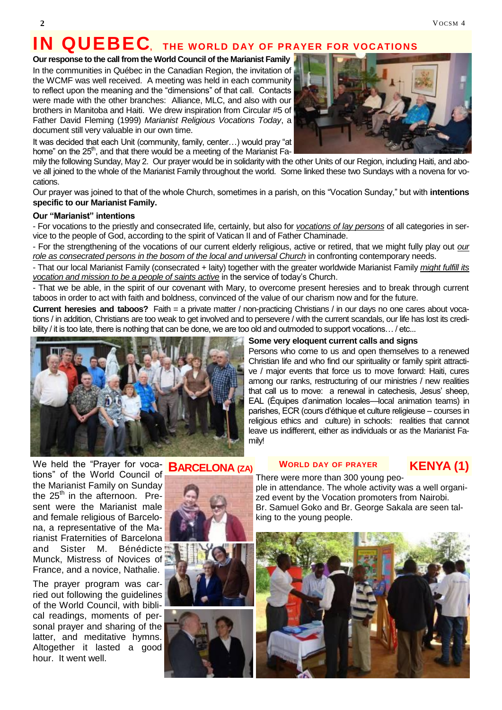# **IN QUEBEC, THE WORLD DAY OF PRAYER FOR VOCATIONS**

### **Our response to the call from the World Council of the Marianist Family**

In the communities in Québec in the Canadian Region, the invitation of the WCMF was well received. A meeting was held in each community to reflect upon the meaning and the "dimensions" of that call. Contacts were made with the other branches: Alliance, MLC, and also with our brothers in Manitoba and Haiti. We drew inspiration from Circular #5 of Father David Fleming (1999) *Marianist Religious Vocations Today*, a document still very valuable in our own time.

It was decided that each Unit (community, family, center...) would pray "at home" on the 25<sup>th</sup>, and that there would be a meeting of the Marianist Fa-

mily the following Sunday, May 2. Our prayer would be in solidarity with the other Units of our Region, including Haiti, and above all joined to the whole of the Marianist Family throughout the world. Some linked these two Sundays with a novena for vocations.

Our prayer was joined to that of the whole Church, sometimes in a parish, on this "Vocation Sunday," but with **intentions specific to our Marianist Family.**

#### **Our "Marianist" intentions**

- For vocations to the priestly and consecrated life, certainly, but also for *vocations of lay persons* of all categories in service to the people of God, according to the spirit of Vatican II and of Father Chaminade.

- For the strengthening of the vocations of our current elderly religious, active or retired, that we might fully play out *our*  role as consecrated persons in the bosom of the local and universal Church in confronting contemporary needs.

- That our local Marianist Family (consecrated + laity) together with the greater worldwide Marianist Family *might fulfill its vocation and mission to be a people of saints active* in the service of today's Church.

- That we be able, in the spirit of our covenant with Mary, to overcome present heresies and to break through current taboos in order to act with faith and boldness, convinced of the value of our charism now and for the future.

**Current heresies and taboos?** Faith = a private matter / non-practicing Christians / in our days no one cares about vocations / in addition, Christians are too weak to get involved and to persevere / with the current scandals, our life has lost its credibility / it is too late, there is nothing that can be done, we are too old and outmoded to support vocations… / etc...



### **Some very eloquent current calls and signs**

Persons who come to us and open themselves to a renewed Christian life and who find our spirituality or family spirit attractive / major events that force us to move forward: Haiti, cures among our ranks, restructuring of our ministries / new realities that call us to move: a renewal in catechesis, Jesus' sheep, EAL (Équipes d'animation locales—local animation teams) in parishes, ECR (cours d'éthique et culture religieuse – courses in religious ethics and culture) in schools: realities that cannot leave us indifferent, either as individuals or as the Marianist Family!

We held the "Prayer for vocations‖ of the World Council of the Marianist Family on Sunday the  $25<sup>th</sup>$  in the afternoon. Present were the Marianist male and female religious of Barcelona, a representative of the Marianist Fraternities of Barcelona and Sister M. Bénédicte Munck, Mistress of Novices of France, and a novice, Nathalie.

The prayer program was carried out following the guidelines of the World Council, with biblical readings, moments of personal prayer and sharing of the latter, and meditative hymns. Altogether it lasted a good hour. It went well.

### **BARCELONA (ZA)**







#### **WORLD DAY OF PRAYER**

### **KENYA (1)**

There were more than 300 young people in attendance. The whole activity was a well organized event by the Vocation promoters from Nairobi. Br. Samuel Goko and Br. George Sakala are seen talking to the young people.



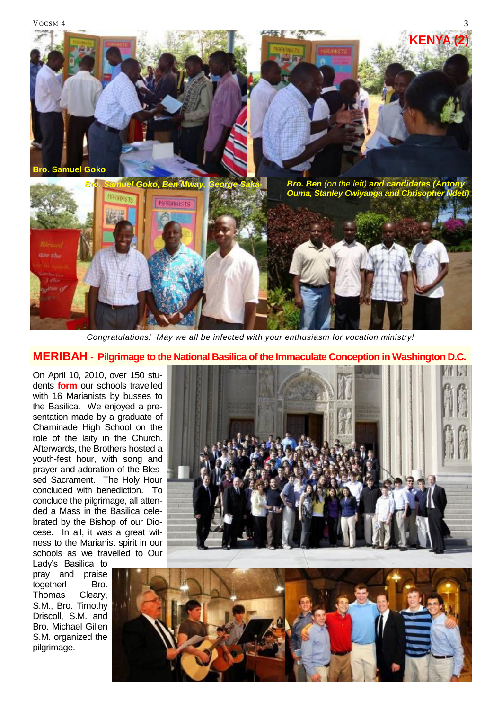

*Congratulations! May we all be infected with your enthusiasm for vocation ministry!*

### **MERIBAH - Pilgrimage to the National Basilica of the Immaculate Conception in Washington D.C.**

On April 10, 2010, over 150 students **form** our schools travelled with 16 Marianists by busses to the Basilica. We enjoyed a presentation made by a graduate of Chaminade High School on the role of the laity in the Church. Afterwards, the Brothers hosted a youth-fest hour, with song and prayer and adoration of the Blessed Sacrament. The Holy Hour concluded with benediction. To conclude the pilgrimage, all attended a Mass in the Basilica celebrated by the Bishop of our Diocese. In all, it was a great witness to the Marianist spirit in our schools as we travelled to Our

Lady's Basilica to pray and praise together! Bro. Thomas Cleary, S.M., Bro. Timothy Driscoll, S.M. and Bro. Michael Gillen S.M. organized the pilgrimage.



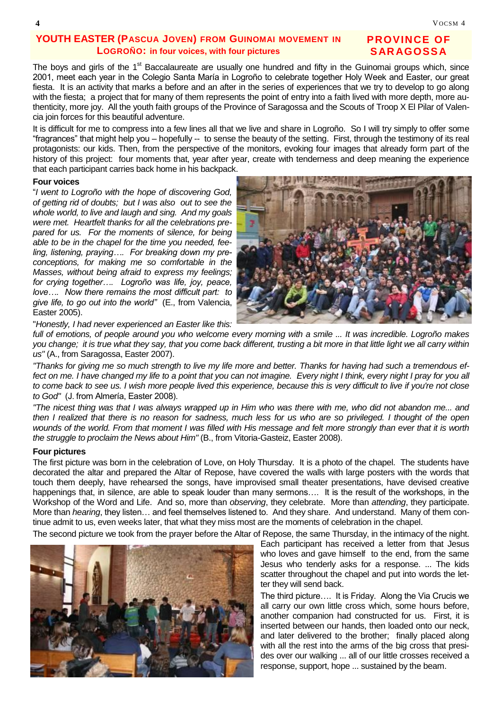### **YOUTH EASTER (PASCUA JOVEN) FROM GUINOMAI MOVEMENT IN LOGROÑO: in four voices, with four pictures**

### **PROVINCE OF SAR AGOSSA**

The boys and girls of the 1<sup>st</sup> Baccalaureate are usually one hundred and fifty in the Guinomai groups which, since 2001, meet each year in the Colegio Santa María in Logroño to celebrate together Holy Week and Easter, our great fiesta. It is an activity that marks a before and an after in the series of experiences that we try to develop to go along with the fiesta; a project that for many of them represents the point of entry into a faith lived with more depth, more authenticity, more joy. All the youth faith groups of the Province of Saragossa and the Scouts of Troop X El Pilar of Valencia join forces for this beautiful adventure.

It is difficult for me to compress into a few lines all that we live and share in Logroño. So I will try simply to offer some ―fragrances‖ that might help you – hopefully -- to sense the beauty of the setting. First, through the testimony of its real protagonists: our kids. Then, from the perspective of the monitors, evoking four images that already form part of the history of this project: four moments that, year after year, create with tenderness and deep meaning the experience that each participant carries back home in his backpack.

#### **Four voices**

―*I went to Logroño with the hope of discovering God, of getting rid of doubts; but I was also out to see the whole world, to live and laugh and sing. And my goals were met. Heartfelt thanks for all the celebrations prepared for us. For the moments of silence, for being able to be in the chapel for the time you needed, feeling, listening, praying…. For breaking down my preconceptions, for making me so comfortable in the Masses, without being afraid to express my feelings; for crying together…. Logroño was life, joy, peace, love…. Now there remains the most difficult part: to give life, to go out into the world"* (E., from Valencia, Easter 2005).

"*Honestly, I had never experienced an Easter like this:* 

*full of emotions, of people around you who welcome every morning with a smile ... It was incredible. Logroño makes you change; it is true what they say, that you come back different, trusting a bit more in that little light we all carry within us"* (A., from Saragossa, Easter 2007).

*"Thanks for giving me so much strength to live my life more and better. Thanks for having had such a tremendous ef*fect on me. I have changed my life to a point that you can not imagine. Every night I think, every night I pray for you all *to come back to see us. I wish more people lived this experience, because this is very difficult to live if you're not close to God"* (J. from Almería, Easter 2008).

*"The nicest thing was that I was always wrapped up in Him who was there with me, who did not abandon me... and then I realized that there is no reason for sadness, much less for us who are so privileged. I thought of the open wounds of the world. From that moment I was filled with His message and felt more strongly than ever that it is worth the struggle to proclaim the News about Him"* (B., from Vitoria-Gasteiz, Easter 2008).

#### **Four pictures**

The first picture was born in the celebration of Love, on Holy Thursday. It is a photo of the chapel. The students have decorated the altar and prepared the Altar of Repose, have covered the walls with large posters with the words that touch them deeply, have rehearsed the songs, have improvised small theater presentations, have devised creative happenings that, in silence, are able to speak louder than many sermons…. It is the result of the workshops, in the Workshop of the Word and Life. And so, more than *observing*, they celebrate. More than *attending*, they participate. More than *hearing*, they listen… and feel themselves listened to. And they share. And understand. Many of them continue admit to us, even weeks later, that what they miss most are the moments of celebration in the chapel.

The second picture we took from the prayer before the Altar of Repose, the same Thursday, in the intimacy of the night.



Each participant has received a letter from that Jesus who loves and gave himself to the end, from the same Jesus who tenderly asks for a response. ... The kids scatter throughout the chapel and put into words the letter they will send back.

The third picture…. It is Friday. Along the Via Crucis we all carry our own little cross which, some hours before, another companion had constructed for us. First, it is inserted between our hands, then loaded onto our neck, and later delivered to the brother; finally placed along with all the rest into the arms of the big cross that presides over our walking ... all of our little crosses received a response, support, hope ... sustained by the beam.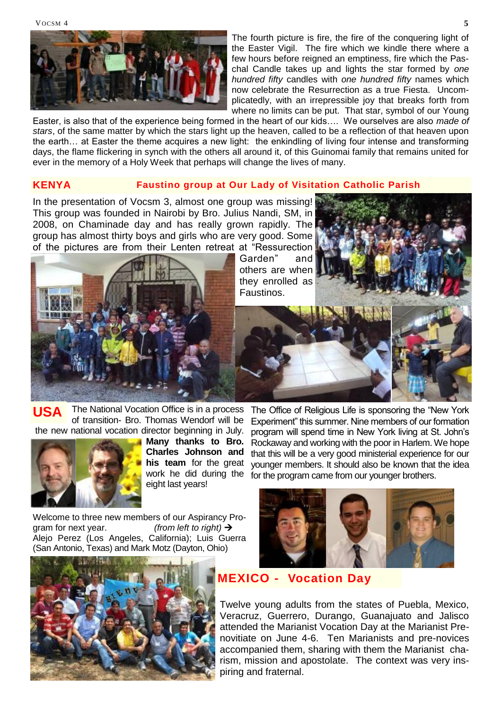VOCSM 4



The fourth picture is fire, the fire of the conquering light of the Easter Vigil. The fire which we kindle there where a few hours before reigned an emptiness, fire which the Paschal Candle takes up and lights the star formed by *one hundred fifty* candles with *one hundred fifty* names which now celebrate the Resurrection as a true Fiesta. Uncomplicatedly, with an irrepressible joy that breaks forth from where no limits can be put. That star, symbol of our Young

Easter, is also that of the experience being formed in the heart of our kids…. We ourselves are also *made of stars*, of the same matter by which the stars light up the heaven, called to be a reflection of that heaven upon the earth… at Easter the theme acquires a new light: the enkindling of living four intense and transforming days, the flame flickering in synch with the others all around it, of this Guinomai family that remains united for ever in the memory of a Holy Week that perhaps will change the lives of many.

#### **KENYA Faustino group at Our Lady of Visitation Catholic Parish**

In the presentation of Vocsm 3, almost one group was missing! This group was founded in Nairobi by Bro. Julius Nandi, SM, in 2008, on Chaminade day and has really grown rapidly. The group has almost thirty boys and girls who are very good. Some of the pictures are from their Lenten retreat at "Ressurection

Garden<sup>"</sup> and others are when they enrolled as Faustinos.





of transition- Bro. Thomas Wendorf will be the new national vocation director beginning in July. **USA**



**Many thanks to Bro. Charles Johnson and his team** for the great work he did during the eight last years!

Welcome to three new members of our Aspirancy Program for next year. *(from left to right)*  Alejo Perez (Los Angeles, California); Luis Guerra (San Antonio, Texas) and Mark Motz (Dayton, Ohio)



The Office of Religious Life is sponsoring the "New York" Experiment" this summer. Nine members of our formation program will spend time in New York living at St. John's Rockaway and working with the poor in Harlem. We hope that this will be a very good ministerial experience for our younger members. It should also be known that the idea for the program came from our younger brothers.



## **MEXICO - Vocation Day**

Twelve young adults from the states of Puebla, Mexico, Veracruz, Guerrero, Durango, Guanajuato and Jalisco attended the Marianist Vocation Day at the Marianist Prenovitiate on June 4-6. Ten Marianists and pre-novices accompanied them, sharing with them the Marianist charism, mission and apostolate. The context was very inspiring and fraternal.